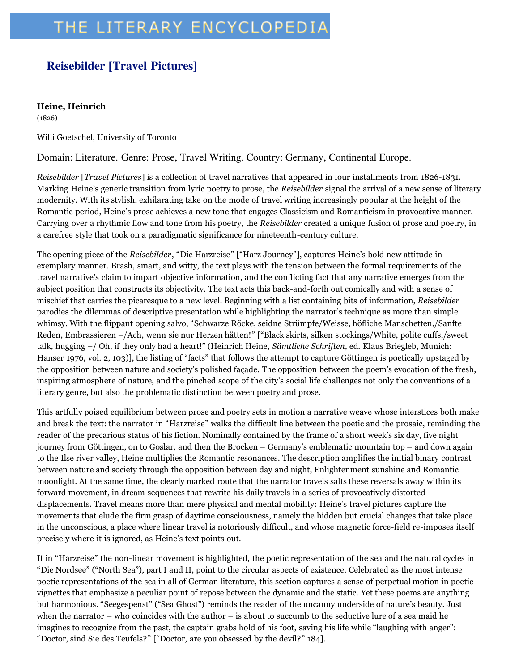## THE LITERARY ENCYCLOPEDIA

## **Reisebilder [Travel Pictures]**

## **Heine, Heinrich**

(1826)

Willi Goetschel, University of Toronto

Domain: Literature. Genre: Prose, Travel Writing. Country: Germany, Continental Europe.

*Reisebilder* [*Travel Pictures*] is a collection of travel narratives that appeared in four installments from 1826-1831. Marking Heine's generic transition from lyric poetry to prose, the *Reisebilder* signal the arrival of a new sense of literary modernity. With its stylish, exhilarating take on the mode of travel writing increasingly popular at the height of the Romantic period, Heine's prose achieves a new tone that engages Classicism and Romanticism in provocative manner. Carrying over a rhythmic flow and tone from his poetry, the *Reisebilder* created a unique fusion of prose and poetry, in a carefree style that took on a paradigmatic significance for nineteenth-century culture.

The opening piece of the *Reisebilder*, "Die Harzreise" ["Harz Journey"], captures Heine's bold new attitude in exemplary manner. Brash, smart, and witty, the text plays with the tension between the formal requirements of the travel narrative's claim to impart objective information, and the conflicting fact that any narrative emerges from the subject position that constructs its objectivity. The text acts this back-and-forth out comically and with a sense of mischief that carries the picaresque to a new level. Beginning with a list containing bits of information, *Reisebilder* parodies the dilemmas of descriptive presentation while highlighting the narrator's technique as more than simple whimsy. With the flippant opening salvo, "Schwarze Röcke, seidne Strümpfe/Weisse, höfliche Manschetten,/Sanfte Reden, Embrassieren –/Ach, wenn sie nur Herzen hätten!" ["Black skirts, silken stockings/White, polite cuffs,/sweet talk, hugging –/ Oh, if they only had a heart!" (Heinrich Heine, *Sämtliche Schriften*, ed. Klaus Briegleb, Munich: Hanser 1976, vol. 2, 103)], the listing of "facts" that follows the attempt to capture Göttingen is poetically upstaged by the opposition between nature and society's polished façade. The opposition between the poem's evocation of the fresh, inspiring atmosphere of nature, and the pinched scope of the city's social life challenges not only the conventions of a literary genre, but also the problematic distinction between poetry and prose.

This artfully poised equilibrium between prose and poetry sets in motion a narrative weave whose interstices both make and break the text: the narrator in "Harzreise" walks the difficult line between the poetic and the prosaic, reminding the reader of the precarious status of his fiction. Nominally contained by the frame of a short week's six day, five night journey from Göttingen, on to Goslar, and then the Brocken – Germany's emblematic mountain top – and down again to the Ilse river valley, Heine multiplies the Romantic resonances. The description amplifies the initial binary contrast between nature and society through the opposition between day and night, Enlightenment sunshine and Romantic moonlight. At the same time, the clearly marked route that the narrator travels salts these reversals away within its forward movement, in dream sequences that rewrite his daily travels in a series of provocatively distorted displacements. Travel means more than mere physical and mental mobility: Heine's travel pictures capture the movements that elude the firm grasp of daytime consciousness, namely the hidden but crucial changes that take place in the unconscious, a place where linear travel is notoriously difficult, and whose magnetic force-field re-imposes itself precisely where it is ignored, as Heine's text points out.

If in "Harzreise" the non-linear movement is highlighted, the poetic representation of the sea and the natural cycles in "Die Nordsee" ("North Sea"), part I and II, point to the circular aspects of existence. Celebrated as the most intense poetic representations of the sea in all of German literature, this section captures a sense of perpetual motion in poetic vignettes that emphasize a peculiar point of repose between the dynamic and the static. Yet these poems are anything but harmonious. "Seegespenst" ("Sea Ghost") reminds the reader of the uncanny underside of nature's beauty. Just when the narrator – who coincides with the author – is about to succumb to the seductive lure of a sea maid he imagines to recognize from the past, the captain grabs hold of his foot, saving his life while "laughing with anger": "Doctor, sind Sie des Teufels?" ["Doctor, are you obsessed by the devil?" 184].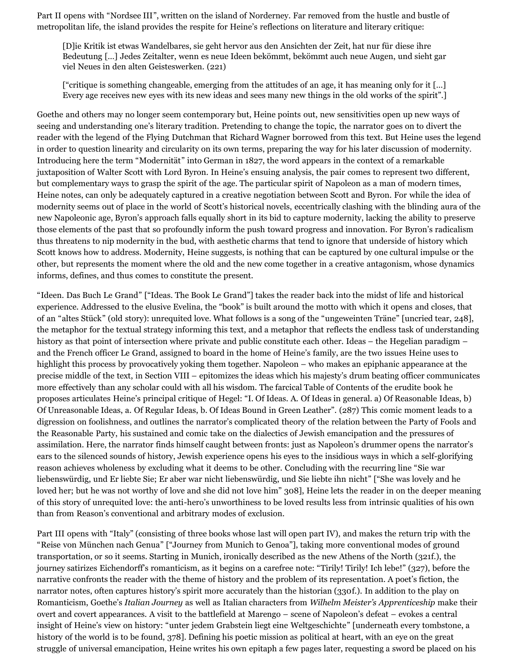Part II opens with "Nordsee III", written on the island of Norderney. Far removed from the hustle and bustle of metropolitan life, the island provides the respite for Heine's reflections on literature and literary critique:

[D]ie Kritik ist etwas Wandelbares, sie geht hervor aus den Ansichten der Zeit, hat nur für diese ihre Bedeutung […] Jedes Zeitalter, wenn es neue Ideen bekömmt, bekömmt auch neue Augen, und sieht gar viel Neues in den alten Geisteswerken. (221)

["critique is something changeable, emerging from the attitudes of an age, it has meaning only for it […] Every age receives new eyes with its new ideas and sees many new things in the old works of the spirit".]

Goethe and others may no longer seem contemporary but, Heine points out, new sensitivities open up new ways of seeing and understanding one's literary tradition. Pretending to change the topic, the narrator goes on to divert the reader with the legend of the Flying Dutchman that Richard Wagner borrowed from this text. But Heine uses the legend in order to question linearity and circularity on its own terms, preparing the way for his later discussion of modernity. Introducing here the term "Modernität" into German in 1827, the word appears in the context of a remarkable juxtaposition of Walter Scott with Lord Byron. In Heine's ensuing analysis, the pair comes to represent two different, but complementary ways to grasp the spirit of the age. The particular spirit of Napoleon as a man of modern times, Heine notes, can only be adequately captured in a creative negotiation between Scott and Byron. For while the idea of modernity seems out of place in the world of Scott's historical novels, eccentrically clashing with the blinding aura of the new Napoleonic age, Byron's approach falls equally short in its bid to capture modernity, lacking the ability to preserve those elements of the past that so profoundly inform the push toward progress and innovation. For Byron's radicalism thus threatens to nip modernity in the bud, with aesthetic charms that tend to ignore that underside of history which Scott knows how to address. Modernity, Heine suggests, is nothing that can be captured by one cultural impulse or the other, but represents the moment where the old and the new come together in a creative antagonism, whose dynamics informs, defines, and thus comes to constitute the present.

"Ideen. Das Buch Le Grand" ["Ideas. The Book Le Grand"] takes the reader back into the midst of life and historical experience. Addressed to the elusive Evelina, the "book" is built around the motto with which it opens and closes, that of an "altes Stück" (old story): unrequited love. What follows is a song of the "ungeweinten Träne" [uncried tear, 248], the metaphor for the textual strategy informing this text, and a metaphor that reflects the endless task of understanding history as that point of intersection where private and public constitute each other. Ideas – the Hegelian paradigm – and the French officer Le Grand, assigned to board in the home of Heine's family, are the two issues Heine uses to highlight this process by provocatively yoking them together. Napoleon – who makes an epiphanic appearance at the precise middle of the text, in Section VIII – epitomizes the ideas which his majesty's drum beating officer communicates more effectively than any scholar could with all his wisdom. The farcical Table of Contents of the erudite book he proposes articulates Heine's principal critique of Hegel: "I. Of Ideas. A. Of Ideas in general. a) Of Reasonable Ideas, b) Of Unreasonable Ideas, a. Of Regular Ideas, b. Of Ideas Bound in Green Leather". (287) This comic moment leads to a digression on foolishness, and outlines the narrator's complicated theory of the relation between the Party of Fools and the Reasonable Party, his sustained and comic take on the dialectics of Jewish emancipation and the pressures of assimilation. Here, the narrator finds himself caught between fronts: just as Napoleon's drummer opens the narrator's ears to the silenced sounds of history, Jewish experience opens his eyes to the insidious ways in which a self-glorifying reason achieves wholeness by excluding what it deems to be other. Concluding with the recurring line "Sie war liebenswürdig, und Er liebte Sie; Er aber war nicht liebenswürdig, und Sie liebte ihn nicht" ["She was lovely and he loved her; but he was not worthy of love and she did not love him" 308], Heine lets the reader in on the deeper meaning of this story of unrequited love: the anti-hero's unworthiness to be loved results less from intrinsic qualities of his own than from Reason's conventional and arbitrary modes of exclusion.

Part III opens with "Italy" (consisting of three books whose last will open part IV), and makes the return trip with the "Reise von München nach Genua" ["Journey from Munich to Genoa"], taking more conventional modes of ground transportation, or so it seems. Starting in Munich, ironically described as the new Athens of the North (321f.), the journey satirizes Eichendorff's romanticism, as it begins on a carefree note: "Tirily! Tirily! Ich lebe!" (327), before the narrative confronts the reader with the theme of history and the problem of its representation. A poet's fiction, the narrator notes, often captures history's spirit more accurately than the historian (330f.). In addition to the play on Romanticism, Goethe's *Italian Journey* as well as Italian characters from *Wilhelm Meister's Apprenticeship* make their overt and covert appearances. A visit to the battlefield at Marengo – scene of Napoleon's defeat – evokes a central insight of Heine's view on history: "unter jedem Grabstein liegt eine Weltgeschichte" [underneath every tombstone, a history of the world is to be found, 378]. Defining his poetic mission as political at heart, with an eye on the great struggle of universal emancipation, Heine writes his own epitaph a few pages later, requesting a sword be placed on his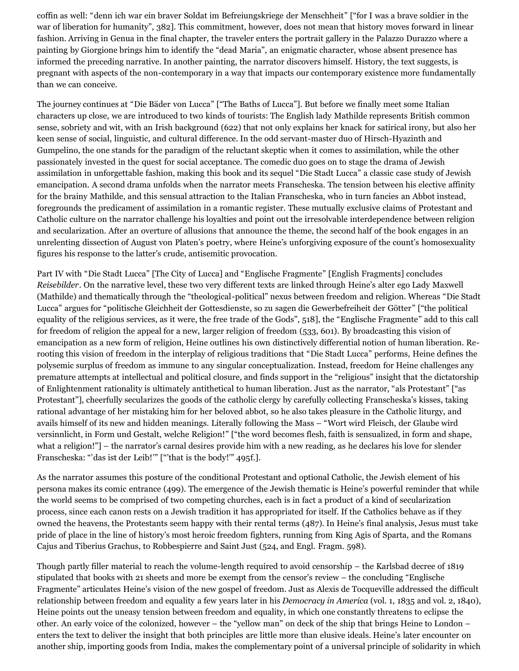coffin as well: "denn ich war ein braver Soldat im Befreiungskriege der Menschheit" ["for I was a brave soldier in the war of liberation for humanity", 382]. This commitment, however, does not mean that history moves forward in linear fashion. Arriving in Genua in the final chapter, the traveler enters the portrait gallery in the Palazzo Durazzo where a painting by Giorgione brings him to identify the "dead Maria", an enigmatic character, whose absent presence has informed the preceding narrative. In another painting, the narrator discovers himself. History, the text suggests, is pregnant with aspects of the non-contemporary in a way that impacts our contemporary existence more fundamentally than we can conceive.

The journey continues at "Die Bäder von Lucca" ["The Baths of Lucca"]. But before we finally meet some Italian characters up close, we are introduced to two kinds of tourists: The English lady Mathilde represents British common sense, sobriety and wit, with an Irish background (622) that not only explains her knack for satirical irony, but also her keen sense of social, linguistic, and cultural difference. In the odd servant-master duo of Hirsch-Hyazinth and Gumpelino, the one stands for the paradigm of the reluctant skeptic when it comes to assimilation, while the other passionately invested in the quest for social acceptance. The comedic duo goes on to stage the drama of Jewish assimilation in unforgettable fashion, making this book and its sequel "Die Stadt Lucca" a classic case study of Jewish emancipation. A second drama unfolds when the narrator meets Franscheska. The tension between his elective affinity for the brainy Mathilde, and this sensual attraction to the Italian Franscheska, who in turn fancies an Abbot instead, foregrounds the predicament of assimilation in a romantic register. These mutually exclusive claims of Protestant and Catholic culture on the narrator challenge his loyalties and point out the irresolvable interdependence between religion and secularization. After an overture of allusions that announce the theme, the second half of the book engages in an unrelenting dissection of August von Platen's poetry, where Heine's unforgiving exposure of the count's homosexuality figures his response to the latter's crude, antisemitic provocation.

Part IV with "Die Stadt Lucca" [The City of Lucca] and "Englische Fragmente" [English Fragments] concludes *Reisebilder*. On the narrative level, these two very different texts are linked through Heine's alter ego Lady Maxwell (Mathilde) and thematically through the "theological-political" nexus between freedom and religion. Whereas "Die Stadt Lucca" argues for "politische Gleichheit der Gottesdienste, so zu sagen die Gewerbefreiheit der Götter" ["the political equality of the religious services, as it were, the free trade of the Gods", 518], the "Englische Fragmente" add to this call for freedom of religion the appeal for a new, larger religion of freedom (533, 601). By broadcasting this vision of emancipation as a new form of religion, Heine outlines his own distinctively differential notion of human liberation. Rerooting this vision of freedom in the interplay of religious traditions that "Die Stadt Lucca" performs, Heine defines the polysemic surplus of freedom as immune to any singular conceptualization. Instead, freedom for Heine challenges any premature attempts at intellectual and political closure, and finds support in the "religious" insight that the dictatorship of Enlightenment rationality is ultimately antithetical to human liberation. Just as the narrator, "als Protestant" ["as Protestant"], cheerfully secularizes the goods of the catholic clergy by carefully collecting Franscheska's kisses, taking rational advantage of her mistaking him for her beloved abbot, so he also takes pleasure in the Catholic liturgy, and avails himself of its new and hidden meanings. Literally following the Mass – "Wort wird Fleisch, der Glaube wird versinnlicht, in Form und Gestalt, welche Religion!" ["the word becomes flesh, faith is sensualized, in form and shape, what a religion!"] – the narrator's carnal desires provide him with a new reading, as he declares his love for slender Franscheska: "'das ist der Leib!'" ["'that is the body!'" 495f.].

As the narrator assumes this posture of the conditional Protestant and optional Catholic, the Jewish element of his persona makes its comic entrance (499). The emergence of the Jewish thematic is Heine's powerful reminder that while the world seems to be comprised of two competing churches, each is in fact a product of a kind of secularization process, since each canon rests on a Jewish tradition it has appropriated for itself. If the Catholics behave as if they owned the heavens, the Protestants seem happy with their rental terms (487). In Heine's final analysis, Jesus must take pride of place in the line of history's most heroic freedom fighters, running from King Agis of Sparta, and the Romans Cajus and Tiberius Grachus, to Robbespierre and Saint Just (524, and Engl. Fragm. 598).

Though partly filler material to reach the volume-length required to avoid censorship – the Karlsbad decree of 1819 stipulated that books with 21 sheets and more be exempt from the censor's review – the concluding "Englische Fragmente" articulates Heine's vision of the new gospel of freedom. Just as Alexis de Tocqueville addressed the difficult relationship between freedom and equality a few years later in his *Democracy in America* (vol. 1, 1835 and vol. 2, 1840), Heine points out the uneasy tension between freedom and equality, in which one constantly threatens to eclipse the other. An early voice of the colonized, however – the "yellow man" on deck of the ship that brings Heine to London – enters the text to deliver the insight that both principles are little more than elusive ideals. Heine's later encounter on another ship, importing goods from India, makes the complementary point of a universal principle of solidarity in which